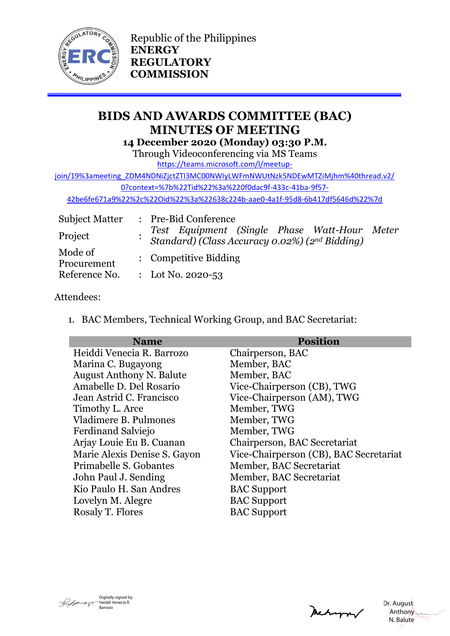

Republic of the Philippines **ENERGY REGULATORY COMMISSION**

# **BIDS AND AWARDS COMMITTEE (BAC) MINUTES OF MEETING 14 December 2020 (Monday) 03:30 P.M.**

Through Videoconferencing via MS Teams

[https://teams.microsoft.com/l/meetup-](https://teams.microsoft.com/l/meetup-join/19%3ameeting_ZDM4NDNiZjctZTI3MC00NWIyLWFmNWUtNzk5NDEwMTZiMjhm%40thread.v2/0?context=%7b%22Tid%22%3a%220f0dac9f-433c-41ba-9f57-42be6fe671a9%22%2c%22Oid%22%3a%22638c224b-aae0-4a1f-95d8-6b417df5646d%22%7d)

[join/19%3ameeting\\_ZDM4NDNiZjctZTI3MC00NWIyLWFmNWUtNzk5NDEwMTZiMjhm%40thread.v2/](https://teams.microsoft.com/l/meetup-join/19%3ameeting_ZDM4NDNiZjctZTI3MC00NWIyLWFmNWUtNzk5NDEwMTZiMjhm%40thread.v2/0?context=%7b%22Tid%22%3a%220f0dac9f-433c-41ba-9f57-42be6fe671a9%22%2c%22Oid%22%3a%22638c224b-aae0-4a1f-95d8-6b417df5646d%22%7d)

[0?context=%7b%22Tid%22%3a%220f0dac9f-433c-41ba-9f57-](https://teams.microsoft.com/l/meetup-join/19%3ameeting_ZDM4NDNiZjctZTI3MC00NWIyLWFmNWUtNzk5NDEwMTZiMjhm%40thread.v2/0?context=%7b%22Tid%22%3a%220f0dac9f-433c-41ba-9f57-42be6fe671a9%22%2c%22Oid%22%3a%22638c224b-aae0-4a1f-95d8-6b417df5646d%22%7d)

[42be6fe671a9%22%2c%22Oid%22%3a%22638c224b-aae0-4a1f-95d8-6b417df5646d%22%7d](https://teams.microsoft.com/l/meetup-join/19%3ameeting_ZDM4NDNiZjctZTI3MC00NWIyLWFmNWUtNzk5NDEwMTZiMjhm%40thread.v2/0?context=%7b%22Tid%22%3a%220f0dac9f-433c-41ba-9f57-42be6fe671a9%22%2c%22Oid%22%3a%22638c224b-aae0-4a1f-95d8-6b417df5646d%22%7d)

| <b>Subject Matter</b>  | : Pre-Bid Conference                                                                           |  |
|------------------------|------------------------------------------------------------------------------------------------|--|
| Project                | Test Equipment (Single Phase Watt-Hour Meter<br>Standard) (Class Accuracy 0.02%) (2nd Bidding) |  |
| Mode of<br>Procurement | : Competitive Bidding                                                                          |  |
| Reference No.          | : Lot No. 2020-53                                                                              |  |

## Attendees:

1. BAC Members, Technical Working Group, and BAC Secretariat:

| <b>Name</b>                     | <b>Position</b>                        |
|---------------------------------|----------------------------------------|
| Heiddi Venecia R. Barrozo       | Chairperson, BAC                       |
| Marina C. Bugayong              | Member, BAC                            |
| <b>August Anthony N. Balute</b> | Member, BAC                            |
| Amabelle D. Del Rosario         | Vice-Chairperson (CB), TWG             |
| Jean Astrid C. Francisco        | Vice-Chairperson (AM), TWG             |
| Timothy L. Arce                 | Member, TWG                            |
| Vladimere B. Pulmones           | Member, TWG                            |
| Ferdinand Salviejo              | Member, TWG                            |
| Arjay Louie Eu B. Cuanan        | Chairperson, BAC Secretariat           |
| Marie Alexis Denise S. Gayon    | Vice-Chairperson (CB), BAC Secretariat |
| Primabelle S. Gobantes          | Member, BAC Secretariat                |
| John Paul J. Sending            | Member, BAC Secretariat                |
| Kio Paulo H. San Andres         | <b>BAC</b> Support                     |
| Lovelyn M. Alegre               | <b>BAC</b> Support                     |
| Rosaly T. Flores                | <b>BAC</b> Support                     |



Mechangery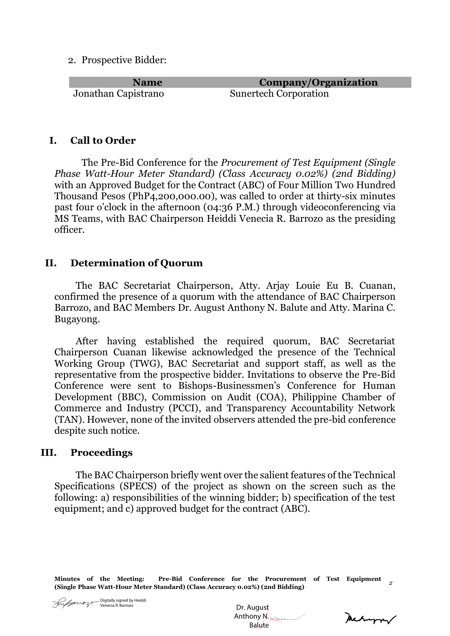2. Prospective Bidder:

Jonathan Capistrano Sunertech Corporation

**Name Company/Organization**

## **I. Call to Order**

The Pre-Bid Conference for the *Procurement of Test Equipment (Single Phase Watt-Hour Meter Standard) (Class Accuracy 0.02%) (2nd Bidding)* with an Approved Budget for the Contract (ABC) of Four Million Two Hundred Thousand Pesos (PhP4,200,000.00), was called to order at thirty-six minutes past four o'clock in the afternoon (04:36 P.M.) through videoconferencing via MS Teams, with BAC Chairperson Heiddi Venecia R. Barrozo as the presiding officer.

#### **II. Determination of Quorum**

The BAC Secretariat Chairperson, Atty. Arjay Louie Eu B. Cuanan, confirmed the presence of a quorum with the attendance of BAC Chairperson Barrozo, and BAC Members Dr. August Anthony N. Balute and Atty. Marina C. Bugayong.

After having established the required quorum, BAC Secretariat Chairperson Cuanan likewise acknowledged the presence of the Technical Working Group (TWG), BAC Secretariat and support staff, as well as the representative from the prospective bidder. Invitations to observe the Pre-Bid Conference were sent to Bishops-Businessmen's Conference for Human Development (BBC), Commission on Audit (COA), Philippine Chamber of Commerce and Industry (PCCI), and Transparency Accountability Network (TAN). However, none of the invited observers attended the pre-bid conference despite such notice.

#### **III. Proceedings**

The BAC Chairperson briefly went over the salient features of the Technical Specifications (SPECS) of the project as shown on the screen such as the following: a) responsibilities of the winning bidder; b) specification of the test equipment; and c) approved budget for the contract (ABC).

**Minutes of the Meeting: Pre-Bid Conference for the Procurement of Test Equipment (Single Phase Watt-Hour Meter Standard) (Class Accuracy 0.02%) (2nd Bidding)** *<sup>2</sup>*

 Dr. August Anthony N. Balute

Mehappy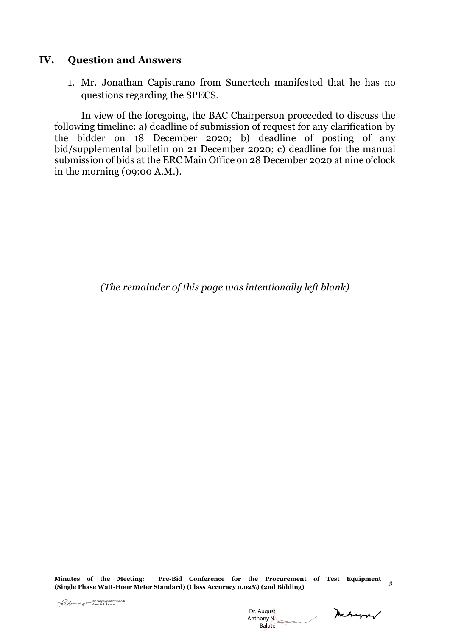### **IV. Question and Answers**

1. Mr. Jonathan Capistrano from Sunertech manifested that he has no questions regarding the SPECS.

In view of the foregoing, the BAC Chairperson proceeded to discuss the following timeline: a) deadline of submission of request for any clarification by the bidder on 18 December 2020; b) deadline of posting of any bid/supplemental bulletin on 21 December 2020; c) deadline for the manual submission of bids at the ERC Main Office on 28 December 2020 at nine o'clock in the morning (09:00 A.M.).

*(The remainder of this page was intentionally left blank)*

**Minutes of the Meeting: Pre-Bid Conference for the Procurement of Test Equipment (Single Phase Watt-Hour Meter Standard) (Class Accuracy 0.02%) (2nd Bidding)** *<sup>3</sup>*

 Dr. August Anthony N. Dr. August<br>Penecia R. Barrozo<br>Anthony N. Balute